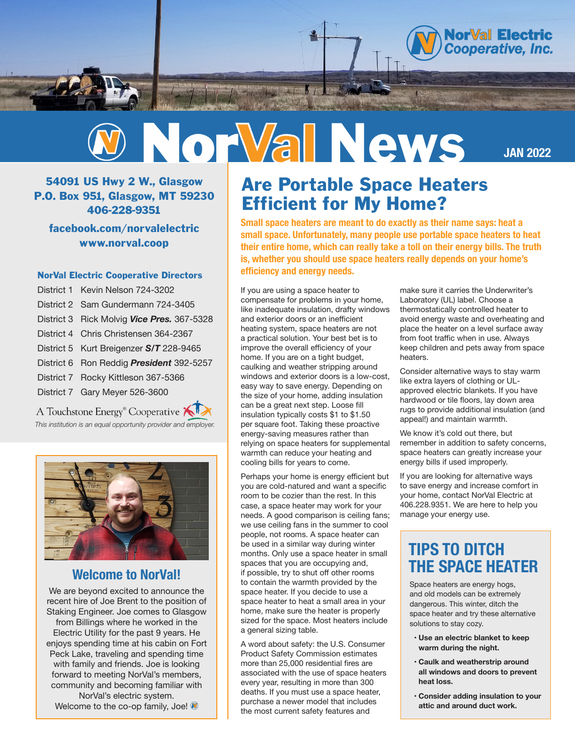



54091 US Hwy 2 W., Glasgow P.O. Box 951, Glasgow, MT 59230 406-228-9351

facebook.com/norvalelectric www.norval.coop

#### NorVal Electric Cooperative Directors

| District 1 Kevin Nelson 724-3202           |
|--------------------------------------------|
| District 2 Sam Gundermann 724-3405         |
| District 3 Rick Molvig Vice Pres. 367-5328 |
| District 4 Chris Christensen 364-2367      |
| District 5 Kurt Breigenzer S/T 228-9465    |
| District 6 Ron Reddig President 392-5257   |
| District 7 Rocky Kittleson 367-5366        |
| District 7 Gary Meyer 526-3600             |

A Touchstone Energy<sup>®</sup> Cooperative *This institution is an equal opportunity provider and employer.*



### **Welcome to NorVal!**

We are beyond excited to announce the recent hire of Joe Brent to the position of Staking Engineer. Joe comes to Glasgow from Billings where he worked in the Electric Utility for the past 9 years. He enjoys spending time at his cabin on Fort Peck Lake, traveling and spending time with family and friends. Joe is looking forward to meeting NorVal's members, community and becoming familiar with NorVal's electric system. Welcome to the co-op family, Joe!

# Are Portable Space Heaters Efficient for My Home?

**Small space heaters are meant to do exactly as their name says: heat a small space. Unfortunately, many people use portable space heaters to heat their entire home, which can really take a toll on their energy bills. The truth is, whether you should use space heaters really depends on your home's efficiency and energy needs.** 

If you are using a space heater to compensate for problems in your home, like inadequate insulation, drafty windows and exterior doors or an inefficient heating system, space heaters are not a practical solution. Your best bet is to improve the overall efficiency of your home. If you are on a tight budget, caulking and weather stripping around windows and exterior doors is a low-cost, easy way to save energy. Depending on the size of your home, adding insulation can be a great next step. Loose fill insulation typically costs \$1 to \$1.50 per square foot. Taking these proactive energy-saving measures rather than relying on space heaters for supplemental warmth can reduce your heating and cooling bills for years to come.

Perhaps your home is energy efficient but you are cold-natured and want a specific room to be cozier than the rest. In this case, a space heater may work for your needs. A good comparison is ceiling fans; we use ceiling fans in the summer to cool people, not rooms. A space heater can be used in a similar way during winter months. Only use a space heater in small spaces that you are occupying and, if possible, try to shut off other rooms to contain the warmth provided by the space heater. If you decide to use a space heater to heat a small area in your home, make sure the heater is properly sized for the space. Most heaters include a general sizing table.

A word about safety: the U.S. Consumer Product Safety Commission estimates more than 25,000 residential fires are associated with the use of space heaters every year, resulting in more than 300 deaths. If you must use a space heater, purchase a newer model that includes the most current safety features and

make sure it carries the Underwriter's Laboratory (UL) label. Choose a thermostatically controlled heater to avoid energy waste and overheating and place the heater on a level surface away from foot traffic when in use. Always keep children and pets away from space heaters.

Consider alternative ways to stay warm like extra layers of clothing or ULapproved electric blankets. If you have hardwood or tile floors, lay down area rugs to provide additional insulation (and appeal!) and maintain warmth.

We know it's cold out there, but remember in addition to safety concerns, space heaters can greatly increase your energy bills if used improperly.

If you are looking for alternative ways to save energy and increase comfort in your home, contact NorVal Electric at 406.228.9351. We are here to help you manage your energy use.

## **TIPS TO DITCH THE SPACE HEATER**

Space heaters are energy hogs, and old models can be extremely dangerous. This winter, ditch the space heater and try these alternative solutions to stay cozy.

- **• Use an electric blanket to keep warm during the night.**
- **• Caulk and weatherstrip around all windows and doors to prevent heat loss.**
- **• Consider adding insulation to your attic and around duct work.**